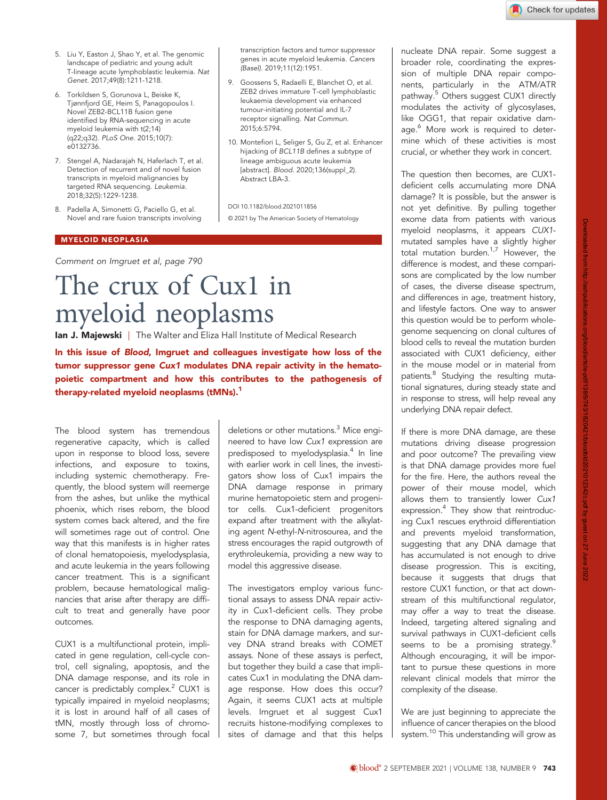- 5. Liu Y, Easton J, Shao Y, et al. The genomic landscape of pediatric and young adult T-lineage acute lymphoblastic leukemia. Nat Genet. 2017;49(8):1211-1218.
- 6. Torkildsen S, Gorunova L, Beiske K, Tjønnfjord GE, Heim S, Panagopoulos I. Novel ZEB2-BCL11B fusion gene identified by RNA-sequencing in acute myeloid leukemia with t(2;14) (q22;q32). PLoS One. 2015;10(7): e0132736.
- 7. Stengel A, Nadarajah N, Haferlach T, et al. Detection of recurrent and of novel fusion transcripts in myeloid malignancies by targeted RNA sequencing. Leukemia. 2018;32(5):1229-1238.
- 8. Padella A, Simonetti G, Paciello G, et al. Novel and rare fusion transcripts involving

#### MYELOID NEOPLASIA

[Comment on Imgruet et al, page 790](http://www.bloodjournal.org/content/138/9/790)

# The crux of Cux1 in myeloid neoplasms

Ian J. Majewski | The Walter and Eliza Hall Institute of Medical Research

In this issue of Blood, [Imgruet and colleagues](http://www.bloodjournal.org/content/138/9/790) investigate how loss of the tumor suppressor gene Cux1 modulates DNA repair activity in the hematopoietic compartment and how this contributes to the pathogenesis of therapy-related myeloid neoplasms (tMNs).<sup>1</sup>

The blood system has tremendous regenerative capacity, which is called upon in response to blood loss, severe infections, and exposure to toxins, including systemic chemotherapy. Frequently, the blood system will reemerge from the ashes, but unlike the mythical phoenix, which rises reborn, the blood system comes back altered, and the fire will sometimes rage out of control. One way that this manifests is in higher rates of clonal hematopoiesis, myelodysplasia, and acute leukemia in the years following cancer treatment. This is a significant problem, because hematological malignancies that arise after therapy are difficult to treat and generally have poor outcomes.

CUX1 is a multifunctional protein, implicated in gene regulation, cell-cycle control, cell signaling, apoptosis, and the DNA damage response, and its role in cancer is predictably complex.<sup>2</sup> CUX1 is typically impaired in myeloid neoplasms; it is lost in around half of all cases of tMN, mostly through loss of chromosome 7, but sometimes through focal

deletions or other mutations.<sup>3</sup> Mice engineered to have low Cux1 expression are predisposed to myelodysplasia.<sup>4</sup> In line with earlier work in cell lines, the investigators show loss of Cux1 impairs the DNA damage response in primary murine hematopoietic stem and progenitor cells. Cux1-deficient progenitors expand after treatment with the alkylating agent N-ethyl-N-nitrosourea, and the stress encourages the rapid outgrowth of erythroleukemia, providing a new way to model this aggressive disease.

transcription factors and tumor suppressor genes in acute myeloid leukemia. Cancers

9. Goossens S, Radaelli E, Blanchet O, et al. ZEB2 drives immature T-cell lymphoblastic leukaemia development via enhanced tumour-initiating potential and IL-7 receptor signalling. Nat Commun.

10. Montefiori L, Seliger S, Gu Z, et al. Enhancer hijacking of BCL11B defines a subtype of lineage ambiguous acute leukemia [abstract]. Blood. 2020;136(suppl\_2).

(Basel). 2019;11(12):1951.

2015;6:5794.

Abstract LBA-3.

DOI 10.1182/blood.2021011856

© 2021 by The American Society of Hematology

The investigators employ various functional assays to assess DNA repair activity in Cux1-deficient cells. They probe the response to DNA damaging agents, stain for DNA damage markers, and survey DNA strand breaks with COMET assays. None of these assays is perfect, but together they build a case that implicates Cux1 in modulating the DNA damage response. How does this occur? Again, it seems CUX1 acts at multiple levels. Imgruet et al suggest Cux1 recruits histone-modifying complexes to sites of damage and that this helps nucleate DNA repair. Some suggest a broader role, coordinating the expression of multiple DNA repair components, particularly in the ATM/ATR pathway.<sup>[5](#page-1-0)</sup> Others suggest CUX1 directly modulates the activity of glycosylases, like OGG1, that repair oxidative dam-age.<sup>[6](#page-1-0)</sup> More work is required to determine which of these activities is most crucial, or whether they work in concert.

The question then becomes, are CUX1 deficient cells accumulating more DNA damage? It is possible, but the answer is not yet definitive. By pulling together exome data from patients with various myeloid neoplasms, it appears CUX1 mutated samples have a slightly higher total mutation burden[.1,7](#page-1-0) However, the difference is modest, and these comparisons are complicated by the low number of cases, the diverse disease spectrum, and differences in age, treatment history, and lifestyle factors. One way to answer this question would be to perform wholegenome sequencing on clonal cultures of blood cells to reveal the mutation burden associated with CUX1 deficiency, either in the mouse model or in material from patients.<sup>8</sup> Studying the resulting mutational signatures, during steady state and in response to stress, will help reveal any underlying DNA repair defect.

If there is more DNA damage, are these mutations driving disease progression and poor outcome? The prevailing view is that DNA damage provides more fuel for the fire. Here, the authors reveal the power of their mouse model, which allows them to transiently lower Cux1 expression.<sup>4</sup> They show that reintroducing Cux1 rescues erythroid differentiation and prevents myeloid transformation, suggesting that any DNA damage that has accumulated is not enough to drive disease progression. This is exciting, because it suggests that drugs that restore CUX1 function, or that act downstream of this multifunctional regulator, may offer a way to treat the disease. Indeed, targeting altered signaling and survival pathways in CUX1-deficient cells seems to be a promising strategy.<sup>9</sup> Although encouraging, it will be important to pursue these questions in more relevant clinical models that mirror the complexity of the disease.

We are just beginning to appreciate the influence of cancer therapies on the blood system.<sup>[10](#page-1-0)</sup> This understanding will grow as